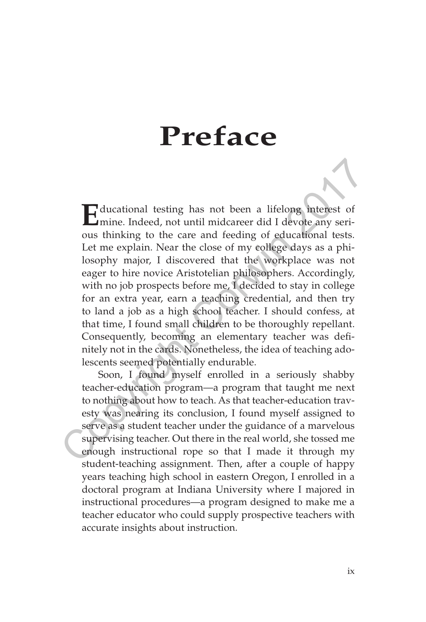## **Preface**

**E**ducational testing has not been a lifelong interest of mine. Indeed, not until midcareer did I devote any serious thinking to the care and feeding of educational tests. Let me explain. Near the close of my college days as a philosophy major, I discovered that the workplace was not eager to hire novice Aristotelian philosophers. Accordingly, with no job prospects before me, I decided to stay in college for an extra year, earn a teaching credential, and then try to land a job as a high school teacher. I should confess, at that time, I found small children to be thoroughly repellant. Consequently, becoming an elementary teacher was definitely not in the cards. Nonetheless, the idea of teaching adolescents seemed potentially endurable. **Example 121** mines. Indeed, not the mail middlength and the suppositions that the enough histonic must have a minimization of the care and feeding of educational tests. Let me explain. Near the close of my college days as

Soon, I found myself enrolled in a seriously shabby teacher-education program—a program that taught me next to nothing about how to teach. As that teacher-education travesty was nearing its conclusion, I found myself assigned to serve as a student teacher under the guidance of a marvelous supervising teacher. Out there in the real world, she tossed me enough instructional rope so that I made it through my student-teaching assignment. Then, after a couple of happy years teaching high school in eastern Oregon, I enrolled in a doctoral program at Indiana University where I majored in instructional procedures—a program designed to make me a teacher educator who could supply prospective teachers with accurate insights about instruction.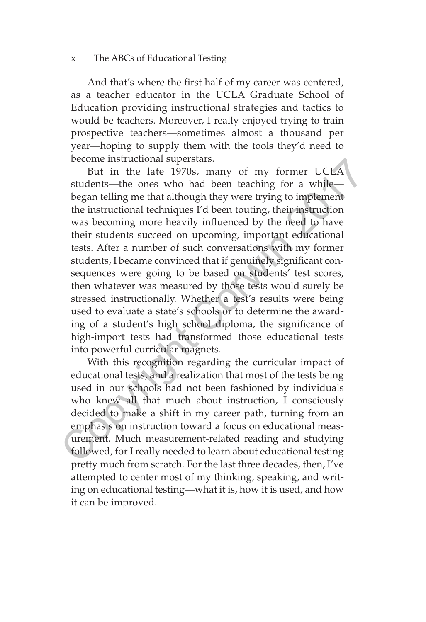## x The ABCs of Educational Testing

And that's where the first half of my career was centered, as a teacher educator in the UCLA Graduate School of Education providing instructional strategies and tactics to would-be teachers. Moreover, I really enjoyed trying to train prospective teachers—sometimes almost a thousand per year—hoping to supply them with the tools they'd need to become instructional superstars.

But in the late 1970s, many of my former UCLA students—the ones who had been teaching for a while began telling me that although they were trying to implement the instructional techniques I'd been touting, their instruction was becoming more heavily influenced by the need to have their students succeed on upcoming, important educational tests. After a number of such conversations with my former students, I became convinced that if genuinely significant consequences were going to be based on students' test scores, then whatever was measured by those tests would surely be stressed instructionally. Whether a test's results were being used to evaluate a state's schools or to determine the awarding of a student's high school diploma, the significance of high-import tests had transformed those educational tests into powerful curricular magnets. Become instructional superstars.<br>
But in the late 1970s, many of my former UCLA<br>
students—the ones who had been teaching for a while—<br>
began telling me that although they were trying to implement<br>
the instructional techniq

With this recognition regarding the curricular impact of educational tests, and a realization that most of the tests being used in our schools had not been fashioned by individuals who knew all that much about instruction, I consciously decided to make a shift in my career path, turning from an emphasis on instruction toward a focus on educational measurement. Much measurement-related reading and studying followed, for I really needed to learn about educational testing pretty much from scratch. For the last three decades, then, I've attempted to center most of my thinking, speaking, and writing on educational testing—what it is, how it is used, and how it can be improved.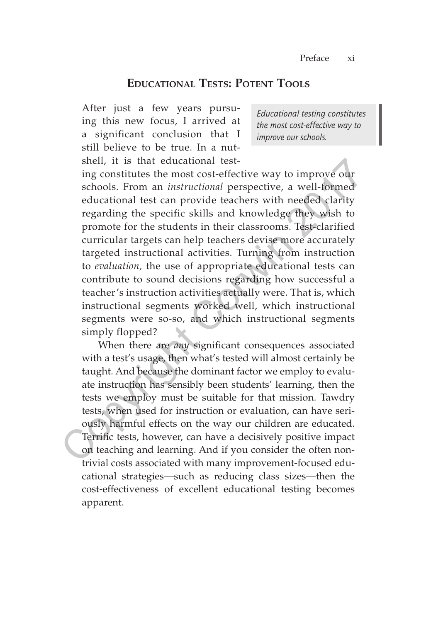## **Educational Tests: Potent Tools**

After just a few years pursuing this new focus, I arrived at a significant conclusion that I still believe to be true. In a nutshell, it is that educational test-

*Educational testing constitutes the most cost-effective way to improve our schools.*

ing constitutes the most cost-effective way to improve our schools. From an *instructional* perspective, a well-formed educational test can provide teachers with needed clarity regarding the specific skills and knowledge they wish to promote for the students in their classrooms. Test-clarified curricular targets can help teachers devise more accurately targeted instructional activities. Turning from instruction to *evaluation,* the use of appropriate educational tests can contribute to sound decisions regarding how successful a teacher's instruction activities actually were. That is, which instructional segments worked well, which instructional segments were so-so, and which instructional segments simply flopped? shell, it is that educational test-<br>ing constitutes the most cost-effective way to improve our<br>schools. From an *instructional* perspective, a well-formed<br>educational test can provide teachers with needed clarity<br>regardin

When there are *any* significant consequences associated with a test's usage, then what's tested will almost certainly be taught. And because the dominant factor we employ to evaluate instruction has sensibly been students' learning, then the tests we employ must be suitable for that mission. Tawdry tests, when used for instruction or evaluation, can have seriously harmful effects on the way our children are educated. Terrific tests, however, can have a decisively positive impact on teaching and learning. And if you consider the often nontrivial costs associated with many improvement-focused educational strategies—such as reducing class sizes—then the cost-effectiveness of excellent educational testing becomes apparent.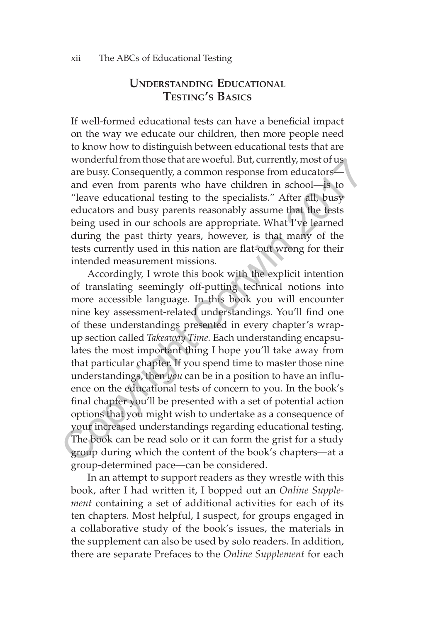## **Understanding Educational Testing's Basics**

If well-formed educational tests can have a beneficial impact on the way we educate our children, then more people need to know how to distinguish between educational tests that are wonderful from those that are woeful. But, currently, most of us are busy. Consequently, a common response from educators and even from parents who have children in school—is to "leave educational testing to the specialists." After all, busy educators and busy parents reasonably assume that the tests being used in our schools are appropriate. What I've learned during the past thirty years, however, is that many of the tests currently used in this nation are flat-out wrong for their intended measurement missions.

Accordingly, I wrote this book with the explicit intention of translating seemingly off-putting technical notions into more accessible language. In this book you will encounter nine key assessment-related understandings. You'll find one of these understandings presented in every chapter's wrapup section called *Takeaway Time.* Each understanding encapsulates the most important thing I hope you'll take away from that particular chapter. If you spend time to master those nine understandings, then *you* can be in a position to have an influence on the educational tests of concern to you. In the book's final chapter you'll be presented with a set of potential action options that you might wish to undertake as a consequence of your increased understandings regarding educational testing. The book can be read solo or it can form the grist for a study group during which the content of the book's chapters—at a group-determined pace—can be considered. wondertur from those that are woertul. But, currently, most or are burst, consequently, a common response from educators—and even from parents who have children in school—is to "leave educational testing to the specialist

In an attempt to support readers as they wrestle with this book, after I had written it, I bopped out an *Online Supplement* containing a set of additional activities for each of its ten chapters. Most helpful, I suspect, for groups engaged in a collaborative study of the book's issues, the materials in the supplement can also be used by solo readers. In addition, there are separate Prefaces to the *Online Supplement* for each